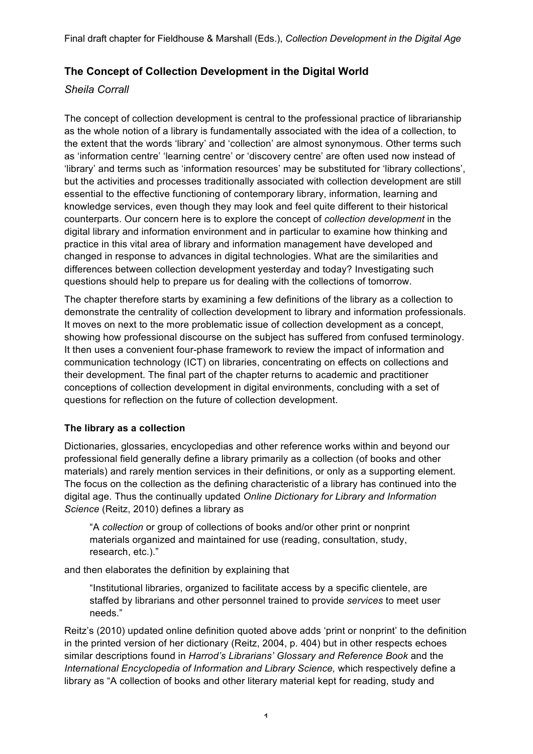# **The Concept of Collection Development in the Digital World**

### *Sheila Corrall*

The concept of collection development is central to the professional practice of librarianship as the whole notion of a library is fundamentally associated with the idea of a collection, to the extent that the words 'library' and 'collection' are almost synonymous. Other terms such as 'information centre' 'learning centre' or 'discovery centre' are often used now instead of 'library' and terms such as 'information resources' may be substituted for 'library collections', but the activities and processes traditionally associated with collection development are still essential to the effective functioning of contemporary library, information, learning and knowledge services, even though they may look and feel quite different to their historical counterparts. Our concern here is to explore the concept of *collection development* in the digital library and information environment and in particular to examine how thinking and practice in this vital area of library and information management have developed and changed in response to advances in digital technologies. What are the similarities and differences between collection development yesterday and today? Investigating such questions should help to prepare us for dealing with the collections of tomorrow.

The chapter therefore starts by examining a few definitions of the library as a collection to demonstrate the centrality of collection development to library and information professionals. It moves on next to the more problematic issue of collection development as a concept, showing how professional discourse on the subject has suffered from confused terminology. It then uses a convenient four-phase framework to review the impact of information and communication technology (ICT) on libraries, concentrating on effects on collections and their development. The final part of the chapter returns to academic and practitioner conceptions of collection development in digital environments, concluding with a set of questions for reflection on the future of collection development.

### **The library as a collection**

Dictionaries, glossaries, encyclopedias and other reference works within and beyond our professional field generally define a library primarily as a collection (of books and other materials) and rarely mention services in their definitions, or only as a supporting element. The focus on the collection as the defining characteristic of a library has continued into the digital age. Thus the continually updated *Online Dictionary for Library and Information Science* (Reitz, 2010) defines a library as

"A *collection* or group of collections of books and/or other print or nonprint materials organized and maintained for use (reading, consultation, study, research, etc.)."

and then elaborates the definition by explaining that

"Institutional libraries, organized to facilitate access by a specific clientele, are staffed by librarians and other personnel trained to provide *services* to meet user needs."

Reitz's (2010) updated online definition quoted above adds 'print or nonprint' to the definition in the printed version of her dictionary (Reitz, 2004, p. 404) but in other respects echoes similar descriptions found in *Harrod's Librarians' Glossary and Reference Book* and the *International Encyclopedia of Information and Library Science,* which respectively define a library as "A collection of books and other literary material kept for reading, study and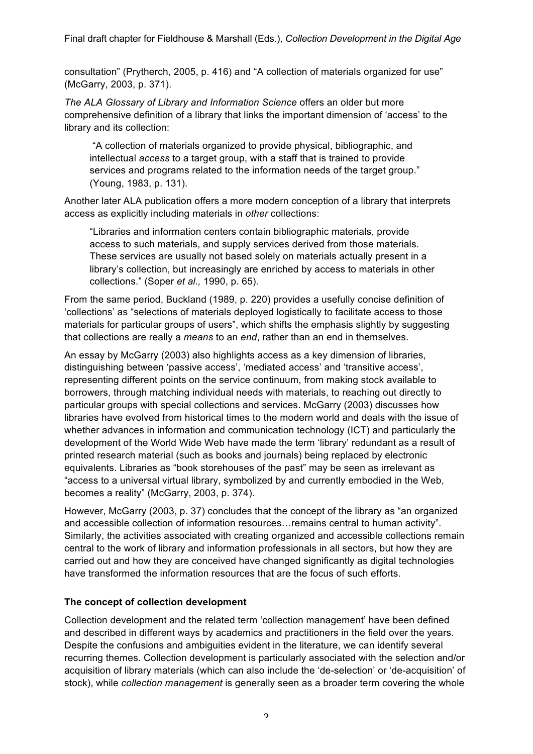consultation" (Prytherch, 2005, p. 416) and "A collection of materials organized for use" (McGarry, 2003, p. 371).

*The ALA Glossary of Library and Information Science* offers an older but more comprehensive definition of a library that links the important dimension of 'access' to the library and its collection:

"A collection of materials organized to provide physical, bibliographic, and intellectual *access* to a target group, with a staff that is trained to provide services and programs related to the information needs of the target group." (Young, 1983, p. 131).

Another later ALA publication offers a more modern conception of a library that interprets access as explicitly including materials in *other* collections:

"Libraries and information centers contain bibliographic materials, provide access to such materials, and supply services derived from those materials. These services are usually not based solely on materials actually present in a library's collection, but increasingly are enriched by access to materials in other collections." (Soper *et al.,* 1990, p. 65).

From the same period, Buckland (1989, p. 220) provides a usefully concise definition of 'collections' as "selections of materials deployed logistically to facilitate access to those materials for particular groups of users", which shifts the emphasis slightly by suggesting that collections are really a *means* to an *end*, rather than an end in themselves.

An essay by McGarry (2003) also highlights access as a key dimension of libraries, distinguishing between 'passive access', 'mediated access' and 'transitive access', representing different points on the service continuum, from making stock available to borrowers, through matching individual needs with materials, to reaching out directly to particular groups with special collections and services. McGarry (2003) discusses how libraries have evolved from historical times to the modern world and deals with the issue of whether advances in information and communication technology (ICT) and particularly the development of the World Wide Web have made the term 'library' redundant as a result of printed research material (such as books and journals) being replaced by electronic equivalents. Libraries as "book storehouses of the past" may be seen as irrelevant as "access to a universal virtual library, symbolized by and currently embodied in the Web, becomes a reality" (McGarry, 2003, p. 374).

However, McGarry (2003, p. 37) concludes that the concept of the library as "an organized and accessible collection of information resources…remains central to human activity". Similarly, the activities associated with creating organized and accessible collections remain central to the work of library and information professionals in all sectors, but how they are carried out and how they are conceived have changed significantly as digital technologies have transformed the information resources that are the focus of such efforts.

### **The concept of collection development**

Collection development and the related term 'collection management' have been defined and described in different ways by academics and practitioners in the field over the years. Despite the confusions and ambiguities evident in the literature, we can identify several recurring themes. Collection development is particularly associated with the selection and/or acquisition of library materials (which can also include the 'de-selection' or 'de-acquisition' of stock), while *collection management* is generally seen as a broader term covering the whole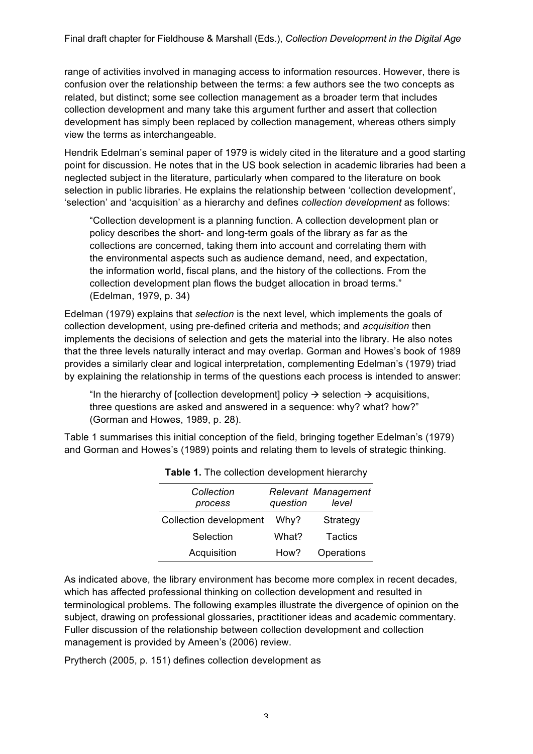range of activities involved in managing access to information resources. However, there is confusion over the relationship between the terms: a few authors see the two concepts as related, but distinct; some see collection management as a broader term that includes collection development and many take this argument further and assert that collection development has simply been replaced by collection management, whereas others simply view the terms as interchangeable.

Hendrik Edelman's seminal paper of 1979 is widely cited in the literature and a good starting point for discussion. He notes that in the US book selection in academic libraries had been a neglected subject in the literature, particularly when compared to the literature on book selection in public libraries. He explains the relationship between 'collection development', 'selection' and 'acquisition' as a hierarchy and defines *collection development* as follows:

"Collection development is a planning function. A collection development plan or policy describes the short- and long-term goals of the library as far as the collections are concerned, taking them into account and correlating them with the environmental aspects such as audience demand, need, and expectation, the information world, fiscal plans, and the history of the collections. From the collection development plan flows the budget allocation in broad terms." (Edelman, 1979, p. 34)

Edelman (1979) explains that *selection* is the next level*,* which implements the goals of collection development, using pre-defined criteria and methods; and *acquisition* then implements the decisions of selection and gets the material into the library. He also notes that the three levels naturally interact and may overlap. Gorman and Howes's book of 1989 provides a similarly clear and logical interpretation, complementing Edelman's (1979) triad by explaining the relationship in terms of the questions each process is intended to answer:

"In the hierarchy of [collection development] policy  $\rightarrow$  selection  $\rightarrow$  acquisitions, three questions are asked and answered in a sequence: why? what? how?" (Gorman and Howes, 1989, p. 28).

Table 1 summarises this initial conception of the field, bringing together Edelman's (1979) and Gorman and Howes's (1989) points and relating them to levels of strategic thinking.

| Collection<br>process         | question | Relevant Management<br>level |
|-------------------------------|----------|------------------------------|
| <b>Collection development</b> | Why?     | Strategy                     |
| Selection                     | What?    | <b>Tactics</b>               |
| Acquisition                   | How?     | Operations                   |

| <b>Table 1.</b> The collection development hierarchy |  |
|------------------------------------------------------|--|
|                                                      |  |

As indicated above, the library environment has become more complex in recent decades, which has affected professional thinking on collection development and resulted in terminological problems. The following examples illustrate the divergence of opinion on the subject, drawing on professional glossaries, practitioner ideas and academic commentary. Fuller discussion of the relationship between collection development and collection management is provided by Ameen's (2006) review.

Prytherch (2005, p. 151) defines collection development as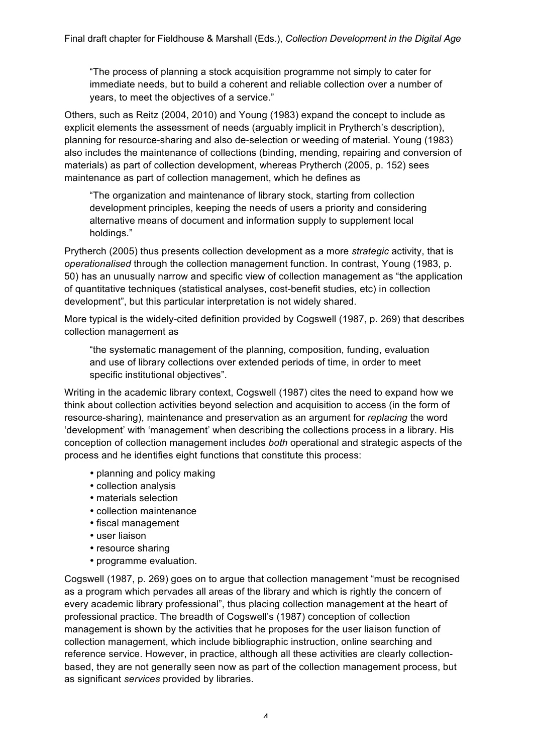"The process of planning a stock acquisition programme not simply to cater for immediate needs, but to build a coherent and reliable collection over a number of years, to meet the objectives of a service."

Others, such as Reitz (2004, 2010) and Young (1983) expand the concept to include as explicit elements the assessment of needs (arguably implicit in Prytherch's description), planning for resource-sharing and also de-selection or weeding of material. Young (1983) also includes the maintenance of collections (binding, mending, repairing and conversion of materials) as part of collection development, whereas Prytherch (2005, p. 152) sees maintenance as part of collection management, which he defines as

"The organization and maintenance of library stock, starting from collection development principles, keeping the needs of users a priority and considering alternative means of document and information supply to supplement local holdings."

Prytherch (2005) thus presents collection development as a more *strategic* activity, that is *operationalised* through the collection management function. In contrast, Young (1983, p. 50) has an unusually narrow and specific view of collection management as "the application of quantitative techniques (statistical analyses, cost-benefit studies, etc) in collection development", but this particular interpretation is not widely shared.

More typical is the widely-cited definition provided by Cogswell (1987, p. 269) that describes collection management as

"the systematic management of the planning, composition, funding, evaluation and use of library collections over extended periods of time, in order to meet specific institutional objectives".

Writing in the academic library context, Cogswell (1987) cites the need to expand how we think about collection activities beyond selection and acquisition to access (in the form of resource-sharing), maintenance and preservation as an argument for *replacing* the word 'development' with 'management' when describing the collections process in a library. His conception of collection management includes *both* operational and strategic aspects of the process and he identifies eight functions that constitute this process:

- planning and policy making
- collection analysis
- materials selection
- collection maintenance
- fiscal management
- user liaison
- resource sharing
- programme evaluation.

Cogswell (1987, p. 269) goes on to argue that collection management "must be recognised as a program which pervades all areas of the library and which is rightly the concern of every academic library professional", thus placing collection management at the heart of professional practice. The breadth of Cogswell's (1987) conception of collection management is shown by the activities that he proposes for the user liaison function of collection management, which include bibliographic instruction, online searching and reference service. However, in practice, although all these activities are clearly collectionbased, they are not generally seen now as part of the collection management process, but as significant *services* provided by libraries.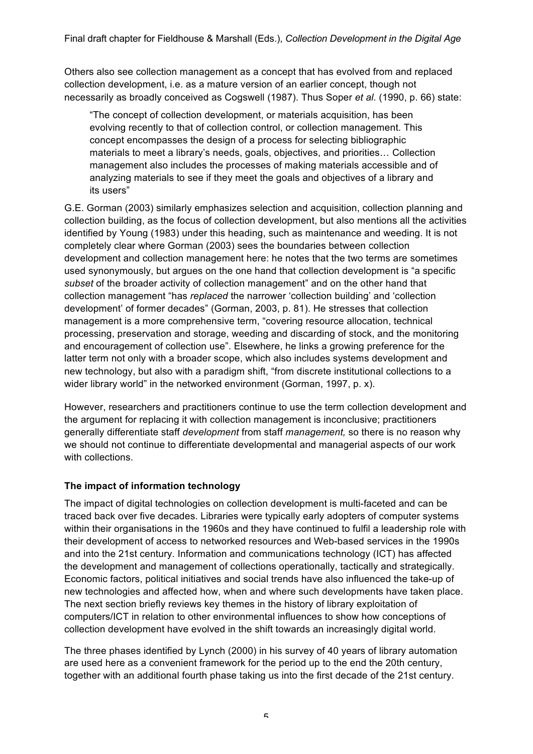Others also see collection management as a concept that has evolved from and replaced collection development, i.e. as a mature version of an earlier concept, though not necessarily as broadly conceived as Cogswell (1987). Thus Soper *et al.* (1990, p. 66) state:

"The concept of collection development, or materials acquisition, has been evolving recently to that of collection control, or collection management. This concept encompasses the design of a process for selecting bibliographic materials to meet a library's needs, goals, objectives, and priorities… Collection management also includes the processes of making materials accessible and of analyzing materials to see if they meet the goals and objectives of a library and its users"

G.E. Gorman (2003) similarly emphasizes selection and acquisition, collection planning and collection building, as the focus of collection development, but also mentions all the activities identified by Young (1983) under this heading, such as maintenance and weeding. It is not completely clear where Gorman (2003) sees the boundaries between collection development and collection management here: he notes that the two terms are sometimes used synonymously, but argues on the one hand that collection development is "a specific *subset* of the broader activity of collection management" and on the other hand that collection management "has *replaced* the narrower 'collection building' and 'collection development' of former decades" (Gorman, 2003, p. 81). He stresses that collection management is a more comprehensive term, "covering resource allocation, technical processing, preservation and storage, weeding and discarding of stock, and the monitoring and encouragement of collection use". Elsewhere, he links a growing preference for the latter term not only with a broader scope, which also includes systems development and new technology, but also with a paradigm shift, "from discrete institutional collections to a wider library world" in the networked environment (Gorman, 1997, p. x).

However, researchers and practitioners continue to use the term collection development and the argument for replacing it with collection management is inconclusive; practitioners generally differentiate staff *development* from staff *management,* so there is no reason why we should not continue to differentiate developmental and managerial aspects of our work with collections.

### **The impact of information technology**

The impact of digital technologies on collection development is multi-faceted and can be traced back over five decades. Libraries were typically early adopters of computer systems within their organisations in the 1960s and they have continued to fulfil a leadership role with their development of access to networked resources and Web-based services in the 1990s and into the 21st century. Information and communications technology (ICT) has affected the development and management of collections operationally, tactically and strategically. Economic factors, political initiatives and social trends have also influenced the take-up of new technologies and affected how, when and where such developments have taken place. The next section briefly reviews key themes in the history of library exploitation of computers/ICT in relation to other environmental influences to show how conceptions of collection development have evolved in the shift towards an increasingly digital world.

The three phases identified by Lynch (2000) in his survey of 40 years of library automation are used here as a convenient framework for the period up to the end the 20th century, together with an additional fourth phase taking us into the first decade of the 21st century.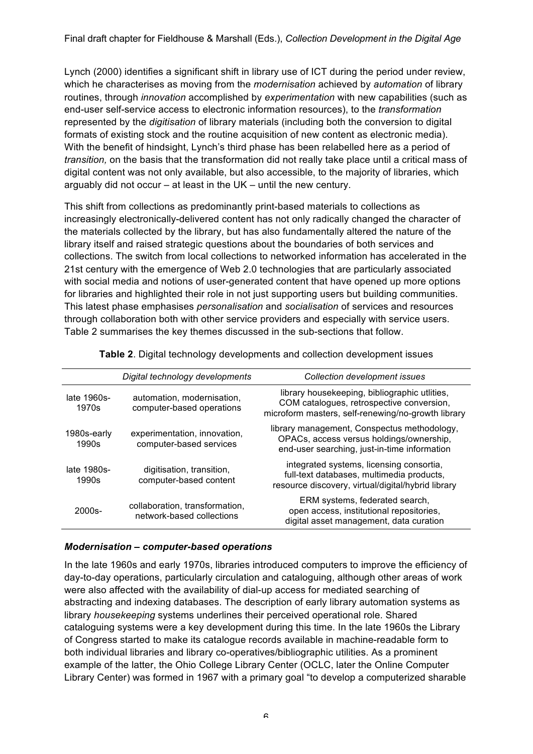Lynch (2000) identifies a significant shift in library use of ICT during the period under review, which he characterises as moving from the *modernisation* achieved by *automation* of library routines, through *innovation* accomplished by *experimentation* with new capabilities (such as end-user self-service access to electronic information resources), to the *transformation* represented by the *digitisation* of library materials (including both the conversion to digital formats of existing stock and the routine acquisition of new content as electronic media). With the benefit of hindsight, Lynch's third phase has been relabelled here as a period of *transition,* on the basis that the transformation did not really take place until a critical mass of digital content was not only available, but also accessible, to the majority of libraries, which arguably did not occur – at least in the UK – until the new century.

This shift from collections as predominantly print-based materials to collections as increasingly electronically-delivered content has not only radically changed the character of the materials collected by the library, but has also fundamentally altered the nature of the library itself and raised strategic questions about the boundaries of both services and collections. The switch from local collections to networked information has accelerated in the 21st century with the emergence of Web 2.0 technologies that are particularly associated with social media and notions of user-generated content that have opened up more options for libraries and highlighted their role in not just supporting users but building communities. This latest phase emphasises *personalisation* and *socialisation* of services and resources through collaboration both with other service providers and especially with service users. Table 2 summarises the key themes discussed in the sub-sections that follow.

|                      | Digital technology developments                             | Collection development issues                                                                                                                    |
|----------------------|-------------------------------------------------------------|--------------------------------------------------------------------------------------------------------------------------------------------------|
| late 1960s-<br>1970s | automation, modernisation,<br>computer-based operations     | library housekeeping, bibliographic utlities,<br>COM catalogues, retrospective conversion,<br>microform masters, self-renewing/no-growth library |
| 1980s-early<br>1990s | experimentation, innovation,<br>computer-based services     | library management, Conspectus methodology,<br>OPACs, access versus holdings/ownership,<br>end-user searching, just-in-time information          |
| late 1980s-<br>1990s | digitisation, transition,<br>computer-based content         | integrated systems, licensing consortia,<br>full-text databases, multimedia products,<br>resource discovery, virtual/digital/hybrid library      |
| $2000s -$            | collaboration, transformation,<br>network-based collections | ERM systems, federated search,<br>open access, institutional repositories,<br>digital asset management, data curation                            |

**Table 2**. Digital technology developments and collection development issues

### *Modernisation – computer-based operations*

In the late 1960s and early 1970s, libraries introduced computers to improve the efficiency of day-to-day operations, particularly circulation and cataloguing, although other areas of work were also affected with the availability of dial-up access for mediated searching of abstracting and indexing databases. The description of early library automation systems as library *housekeeping* systems underlines their perceived operational role. Shared cataloguing systems were a key development during this time. In the late 1960s the Library of Congress started to make its catalogue records available in machine-readable form to both individual libraries and library co-operatives/bibliographic utilities. As a prominent example of the latter, the Ohio College Library Center (OCLC, later the Online Computer Library Center) was formed in 1967 with a primary goal "to develop a computerized sharable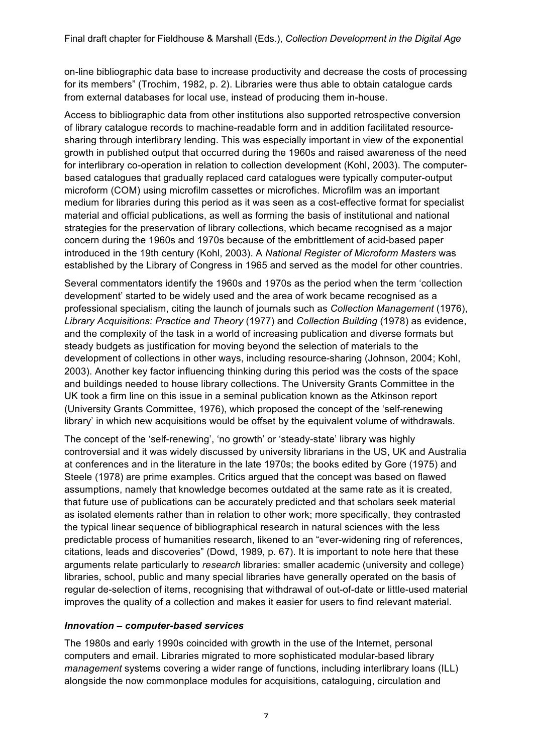on-line bibliographic data base to increase productivity and decrease the costs of processing for its members" (Trochim, 1982, p. 2). Libraries were thus able to obtain catalogue cards from external databases for local use, instead of producing them in-house.

Access to bibliographic data from other institutions also supported retrospective conversion of library catalogue records to machine-readable form and in addition facilitated resourcesharing through interlibrary lending. This was especially important in view of the exponential growth in published output that occurred during the 1960s and raised awareness of the need for interlibrary co-operation in relation to collection development (Kohl, 2003). The computerbased catalogues that gradually replaced card catalogues were typically computer-output microform (COM) using microfilm cassettes or microfiches. Microfilm was an important medium for libraries during this period as it was seen as a cost-effective format for specialist material and official publications, as well as forming the basis of institutional and national strategies for the preservation of library collections, which became recognised as a major concern during the 1960s and 1970s because of the embrittlement of acid-based paper introduced in the 19th century (Kohl, 2003). A *National Register of Microform Masters* was established by the Library of Congress in 1965 and served as the model for other countries.

Several commentators identify the 1960s and 1970s as the period when the term 'collection development' started to be widely used and the area of work became recognised as a professional specialism, citing the launch of journals such as *Collection Management* (1976), *Library Acquisitions: Practice and Theory* (1977) and *Collection Building* (1978) as evidence, and the complexity of the task in a world of increasing publication and diverse formats but steady budgets as justification for moving beyond the selection of materials to the development of collections in other ways, including resource-sharing (Johnson, 2004; Kohl, 2003). Another key factor influencing thinking during this period was the costs of the space and buildings needed to house library collections. The University Grants Committee in the UK took a firm line on this issue in a seminal publication known as the Atkinson report (University Grants Committee, 1976), which proposed the concept of the 'self-renewing library' in which new acquisitions would be offset by the equivalent volume of withdrawals.

The concept of the 'self-renewing', 'no growth' or 'steady-state' library was highly controversial and it was widely discussed by university librarians in the US, UK and Australia at conferences and in the literature in the late 1970s; the books edited by Gore (1975) and Steele (1978) are prime examples. Critics argued that the concept was based on flawed assumptions, namely that knowledge becomes outdated at the same rate as it is created, that future use of publications can be accurately predicted and that scholars seek material as isolated elements rather than in relation to other work; more specifically, they contrasted the typical linear sequence of bibliographical research in natural sciences with the less predictable process of humanities research, likened to an "ever-widening ring of references, citations, leads and discoveries" (Dowd, 1989, p. 67). It is important to note here that these arguments relate particularly to *research* libraries: smaller academic (university and college) libraries, school, public and many special libraries have generally operated on the basis of regular de-selection of items, recognising that withdrawal of out-of-date or little-used material improves the quality of a collection and makes it easier for users to find relevant material.

### *Innovation – computer-based services*

The 1980s and early 1990s coincided with growth in the use of the Internet, personal computers and email. Libraries migrated to more sophisticated modular-based library *management* systems covering a wider range of functions, including interlibrary loans (ILL) alongside the now commonplace modules for acquisitions, cataloguing, circulation and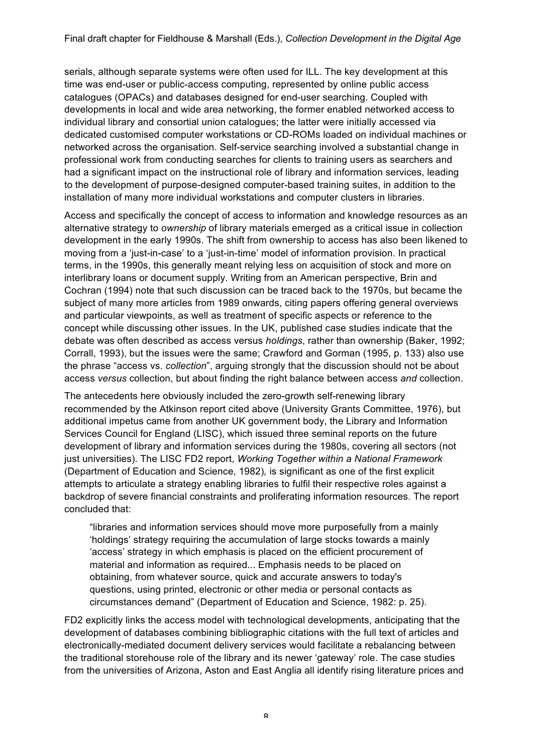serials, although separate systems were often used for ILL. The key development at this time was end-user or public-access computing, represented by online public access catalogues (OPACs) and databases designed for end-user searching. Coupled with developments in local and wide area networking, the former enabled networked access to individual library and consortial union catalogues; the latter were initially accessed via dedicated customised computer workstations or CD-ROMs loaded on individual machines or networked across the organisation. Self-service searching involved a substantial change in professional work from conducting searches for clients to training users as searchers and had a significant impact on the instructional role of library and information services, leading to the development of purpose-designed computer-based training suites, in addition to the installation of many more individual workstations and computer clusters in libraries.

Access and specifically the concept of access to information and knowledge resources as an alternative strategy to *ownership* of library materials emerged as a critical issue in collection development in the early 1990s. The shift from ownership to access has also been likened to moving from a 'just-in-case' to a 'just-in-time' model of information provision. In practical terms, in the 1990s, this generally meant relying less on acquisition of stock and more on interlibrary loans or document supply. Writing from an American perspective, Brin and Cochran (1994) note that such discussion can be traced back to the 1970s, but became the subject of many more articles from 1989 onwards, citing papers offering general overviews and particular viewpoints, as well as treatment of specific aspects or reference to the concept while discussing other issues. In the UK, published case studies indicate that the debate was often described as access versus *holdings*, rather than ownership (Baker, 1992; Corrall, 1993), but the issues were the same; Crawford and Gorman (1995, p. 133) also use the phrase "access vs. *collection*", arguing strongly that the discussion should not be about access *versus* collection, but about finding the right balance between access *and* collection.

The antecedents here obviously included the zero-growth self-renewing library recommended by the Atkinson report cited above (University Grants Committee, 1976), but additional impetus came from another UK government body, the Library and Information Services Council for England (LISC), which issued three seminal reports on the future development of library and information services during the 1980s, covering all sectors (not just universities). The LISC FD2 report, *Working Together within a National Framework* (Department of Education and Science, 1982)*,* is significant as one of the first explicit attempts to articulate a strategy enabling libraries to fulfil their respective roles against a backdrop of severe financial constraints and proliferating information resources. The report concluded that:

"libraries and information services should move more purposefully from a mainly 'holdings' strategy requiring the accumulation of large stocks towards a mainly 'access' strategy in which emphasis is placed on the efficient procurement of material and information as required... Emphasis needs to be placed on obtaining, from whatever source, quick and accurate answers to today's questions, using printed, electronic or other media or personal contacts as circumstances demand" (Department of Education and Science, 1982: p. 25).

FD2 explicitly links the access model with technological developments, anticipating that the development of databases combining bibliographic citations with the full text of articles and electronically-mediated document delivery services would facilitate a rebalancing between the traditional storehouse role of the library and its newer 'gateway' role. The case studies from the universities of Arizona, Aston and East Anglia all identify rising literature prices and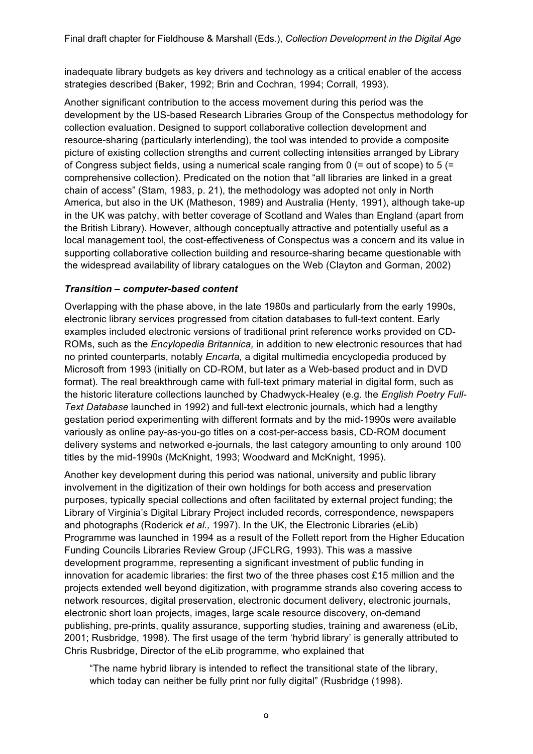inadequate library budgets as key drivers and technology as a critical enabler of the access strategies described (Baker, 1992; Brin and Cochran, 1994; Corrall, 1993).

Another significant contribution to the access movement during this period was the development by the US-based Research Libraries Group of the Conspectus methodology for collection evaluation. Designed to support collaborative collection development and resource-sharing (particularly interlending), the tool was intended to provide a composite picture of existing collection strengths and current collecting intensities arranged by Library of Congress subject fields, using a numerical scale ranging from 0  $(=$  out of scope) to 5  $(=$ comprehensive collection). Predicated on the notion that "all libraries are linked in a great chain of access" (Stam, 1983, p. 21), the methodology was adopted not only in North America, but also in the UK (Matheson, 1989) and Australia (Henty, 1991), although take-up in the UK was patchy, with better coverage of Scotland and Wales than England (apart from the British Library). However, although conceptually attractive and potentially useful as a local management tool, the cost-effectiveness of Conspectus was a concern and its value in supporting collaborative collection building and resource-sharing became questionable with the widespread availability of library catalogues on the Web (Clayton and Gorman, 2002)

### *Transition – computer-based content*

Overlapping with the phase above, in the late 1980s and particularly from the early 1990s, electronic library services progressed from citation databases to full-text content. Early examples included electronic versions of traditional print reference works provided on CD-ROMs, such as the *Encylopedia Britannica,* in addition to new electronic resources that had no printed counterparts, notably *Encarta,* a digital multimedia encyclopedia produced by Microsoft from 1993 (initially on CD-ROM, but later as a Web-based product and in DVD format)*.* The real breakthrough came with full-text primary material in digital form, such as the historic literature collections launched by Chadwyck-Healey (e.g. the *English Poetry Full-Text Database* launched in 1992) and full-text electronic journals, which had a lengthy gestation period experimenting with different formats and by the mid-1990s were available variously as online pay-as-you-go titles on a cost-per-access basis, CD-ROM document delivery systems and networked e-journals, the last category amounting to only around 100 titles by the mid-1990s (McKnight, 1993; Woodward and McKnight, 1995).

Another key development during this period was national, university and public library involvement in the digitization of their own holdings for both access and preservation purposes, typically special collections and often facilitated by external project funding; the Library of Virginia's Digital Library Project included records, correspondence, newspapers and photographs (Roderick *et al.,* 1997). In the UK, the Electronic Libraries (eLib) Programme was launched in 1994 as a result of the Follett report from the Higher Education Funding Councils Libraries Review Group (JFCLRG, 1993). This was a massive development programme, representing a significant investment of public funding in innovation for academic libraries: the first two of the three phases cost £15 million and the projects extended well beyond digitization, with programme strands also covering access to network resources, digital preservation, electronic document delivery, electronic journals, electronic short loan projects, images, large scale resource discovery, on-demand publishing, pre-prints, quality assurance, supporting studies, training and awareness (eLib, 2001; Rusbridge, 1998). The first usage of the term 'hybrid library' is generally attributed to Chris Rusbridge, Director of the eLib programme, who explained that

"The name hybrid library is intended to reflect the transitional state of the library, which today can neither be fully print nor fully digital" (Rusbridge (1998).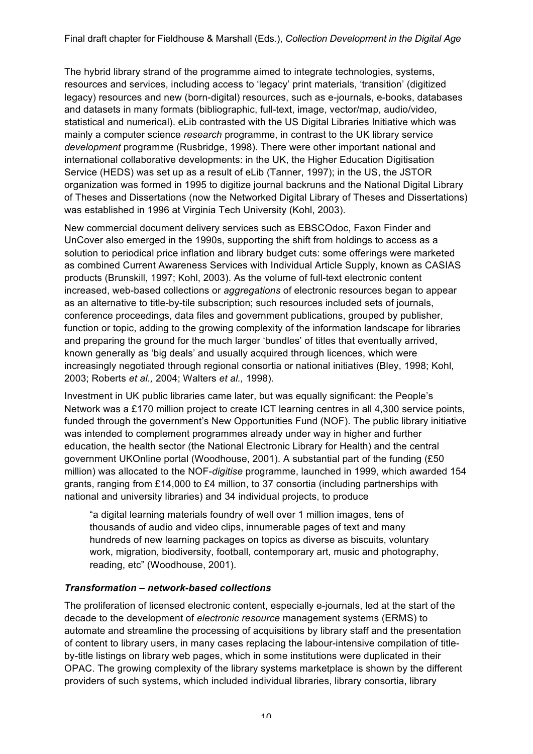The hybrid library strand of the programme aimed to integrate technologies, systems, resources and services, including access to 'legacy' print materials, 'transition' (digitized legacy) resources and new (born-digital) resources, such as e-journals, e-books, databases and datasets in many formats (bibliographic, full-text, image, vector/map, audio/video, statistical and numerical). eLib contrasted with the US Digital Libraries Initiative which was mainly a computer science *research* programme, in contrast to the UK library service *development* programme (Rusbridge, 1998). There were other important national and international collaborative developments: in the UK, the Higher Education Digitisation Service (HEDS) was set up as a result of eLib (Tanner, 1997); in the US, the JSTOR organization was formed in 1995 to digitize journal backruns and the National Digital Library of Theses and Dissertations (now the Networked Digital Library of Theses and Dissertations) was established in 1996 at Virginia Tech University (Kohl, 2003).

New commercial document delivery services such as EBSCOdoc, Faxon Finder and UnCover also emerged in the 1990s, supporting the shift from holdings to access as a solution to periodical price inflation and library budget cuts: some offerings were marketed as combined Current Awareness Services with Individual Article Supply, known as CASIAS products (Brunskill, 1997; Kohl, 2003). As the volume of full-text electronic content increased, web-based collections or *aggregations* of electronic resources began to appear as an alternative to title-by-tile subscription; such resources included sets of journals, conference proceedings, data files and government publications, grouped by publisher, function or topic, adding to the growing complexity of the information landscape for libraries and preparing the ground for the much larger 'bundles' of titles that eventually arrived, known generally as 'big deals' and usually acquired through licences, which were increasingly negotiated through regional consortia or national initiatives (Bley, 1998; Kohl, 2003; Roberts *et al.,* 2004; Walters *et al.,* 1998).

Investment in UK public libraries came later, but was equally significant: the People's Network was a £170 million project to create ICT learning centres in all 4,300 service points, funded through the government's New Opportunities Fund (NOF). The public library initiative was intended to complement programmes already under way in higher and further education, the health sector (the National Electronic Library for Health) and the central government UKOnline portal (Woodhouse, 2001). A substantial part of the funding (£50 million) was allocated to the NOF-*digitise* programme, launched in 1999, which awarded 154 grants, ranging from £14,000 to £4 million, to 37 consortia (including partnerships with national and university libraries) and 34 individual projects, to produce

"a digital learning materials foundry of well over 1 million images, tens of thousands of audio and video clips, innumerable pages of text and many hundreds of new learning packages on topics as diverse as biscuits, voluntary work, migration, biodiversity, football, contemporary art, music and photography, reading, etc" (Woodhouse, 2001).

### *Transformation – network-based collections*

The proliferation of licensed electronic content, especially e-journals, led at the start of the decade to the development of *electronic resource* management systems (ERMS) to automate and streamline the processing of acquisitions by library staff and the presentation of content to library users, in many cases replacing the labour-intensive compilation of titleby-title listings on library web pages, which in some institutions were duplicated in their OPAC. The growing complexity of the library systems marketplace is shown by the different providers of such systems, which included individual libraries, library consortia, library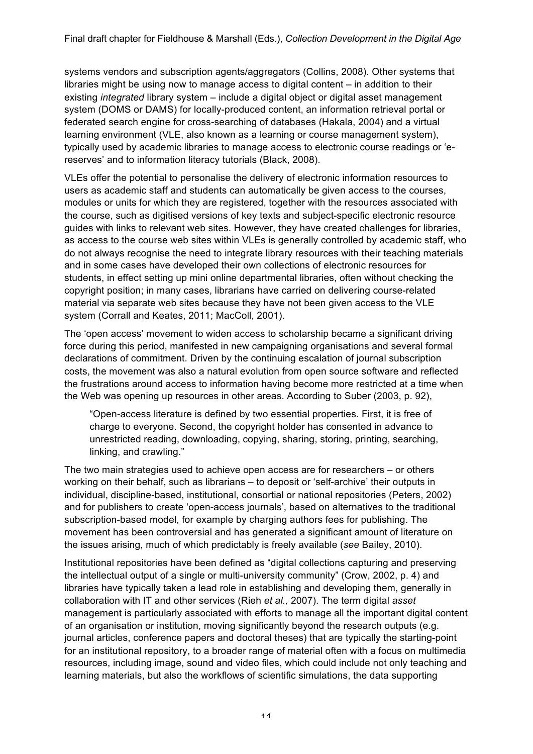systems vendors and subscription agents/aggregators (Collins, 2008). Other systems that libraries might be using now to manage access to digital content – in addition to their existing *integrated* library system – include a digital object or digital asset management system (DOMS or DAMS) for locally-produced content, an information retrieval portal or federated search engine for cross-searching of databases (Hakala, 2004) and a virtual learning environment (VLE, also known as a learning or course management system), typically used by academic libraries to manage access to electronic course readings or 'ereserves' and to information literacy tutorials (Black, 2008).

VLEs offer the potential to personalise the delivery of electronic information resources to users as academic staff and students can automatically be given access to the courses, modules or units for which they are registered, together with the resources associated with the course, such as digitised versions of key texts and subject-specific electronic resource guides with links to relevant web sites. However, they have created challenges for libraries, as access to the course web sites within VLEs is generally controlled by academic staff, who do not always recognise the need to integrate library resources with their teaching materials and in some cases have developed their own collections of electronic resources for students, in effect setting up mini online departmental libraries, often without checking the copyright position; in many cases, librarians have carried on delivering course-related material via separate web sites because they have not been given access to the VLE system (Corrall and Keates, 2011; MacColl, 2001).

The 'open access' movement to widen access to scholarship became a significant driving force during this period, manifested in new campaigning organisations and several formal declarations of commitment. Driven by the continuing escalation of journal subscription costs, the movement was also a natural evolution from open source software and reflected the frustrations around access to information having become more restricted at a time when the Web was opening up resources in other areas. According to Suber (2003, p. 92),

"Open-access literature is defined by two essential properties. First, it is free of charge to everyone. Second, the copyright holder has consented in advance to unrestricted reading, downloading, copying, sharing, storing, printing, searching, linking, and crawling."

The two main strategies used to achieve open access are for researchers – or others working on their behalf, such as librarians – to deposit or 'self-archive' their outputs in individual, discipline-based, institutional, consortial or national repositories (Peters, 2002) and for publishers to create 'open-access journals', based on alternatives to the traditional subscription-based model, for example by charging authors fees for publishing. The movement has been controversial and has generated a significant amount of literature on the issues arising, much of which predictably is freely available (*see* Bailey, 2010).

Institutional repositories have been defined as "digital collections capturing and preserving the intellectual output of a single or multi-university community" (Crow, 2002, p. 4) and libraries have typically taken a lead role in establishing and developing them, generally in collaboration with IT and other services (Rieh *et al.,* 2007). The term digital *asset*  management is particularly associated with efforts to manage all the important digital content of an organisation or institution, moving significantly beyond the research outputs (e.g. journal articles, conference papers and doctoral theses) that are typically the starting-point for an institutional repository, to a broader range of material often with a focus on multimedia resources, including image, sound and video files, which could include not only teaching and learning materials, but also the workflows of scientific simulations, the data supporting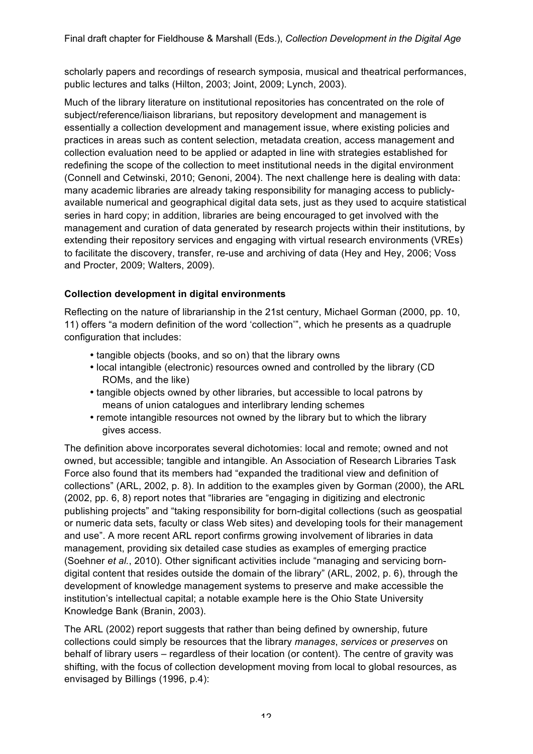scholarly papers and recordings of research symposia, musical and theatrical performances, public lectures and talks (Hilton, 2003; Joint, 2009; Lynch, 2003).

Much of the library literature on institutional repositories has concentrated on the role of subject/reference/liaison librarians, but repository development and management is essentially a collection development and management issue, where existing policies and practices in areas such as content selection, metadata creation, access management and collection evaluation need to be applied or adapted in line with strategies established for redefining the scope of the collection to meet institutional needs in the digital environment (Connell and Cetwinski, 2010; Genoni, 2004). The next challenge here is dealing with data: many academic libraries are already taking responsibility for managing access to publiclyavailable numerical and geographical digital data sets, just as they used to acquire statistical series in hard copy; in addition, libraries are being encouraged to get involved with the management and curation of data generated by research projects within their institutions, by extending their repository services and engaging with virtual research environments (VREs) to facilitate the discovery, transfer, re-use and archiving of data (Hey and Hey, 2006; Voss and Procter, 2009; Walters, 2009).

## **Collection development in digital environments**

Reflecting on the nature of librarianship in the 21st century, Michael Gorman (2000, pp. 10, 11) offers "a modern definition of the word 'collection'", which he presents as a quadruple configuration that includes:

- tangible objects (books, and so on) that the library owns
- local intangible (electronic) resources owned and controlled by the library (CD ROMs, and the like)
- tangible objects owned by other libraries, but accessible to local patrons by means of union catalogues and interlibrary lending schemes
- remote intangible resources not owned by the library but to which the library gives access.

The definition above incorporates several dichotomies: local and remote; owned and not owned, but accessible; tangible and intangible. An Association of Research Libraries Task Force also found that its members had "expanded the traditional view and definition of collections" (ARL, 2002, p. 8). In addition to the examples given by Gorman (2000), the ARL (2002, pp. 6, 8) report notes that "libraries are "engaging in digitizing and electronic publishing projects" and "taking responsibility for born-digital collections (such as geospatial or numeric data sets, faculty or class Web sites) and developing tools for their management and use". A more recent ARL report confirms growing involvement of libraries in data management, providing six detailed case studies as examples of emerging practice (Soehner *et al.*, 2010). Other significant activities include "managing and servicing borndigital content that resides outside the domain of the library" (ARL, 2002, p. 6), through the development of knowledge management systems to preserve and make accessible the institution's intellectual capital; a notable example here is the Ohio State University Knowledge Bank (Branin, 2003).

The ARL (2002) report suggests that rather than being defined by ownership, future collections could simply be resources that the library *manages*, *services* or *preserves* on behalf of library users – regardless of their location (or content). The centre of gravity was shifting, with the focus of collection development moving from local to global resources, as envisaged by Billings (1996, p.4):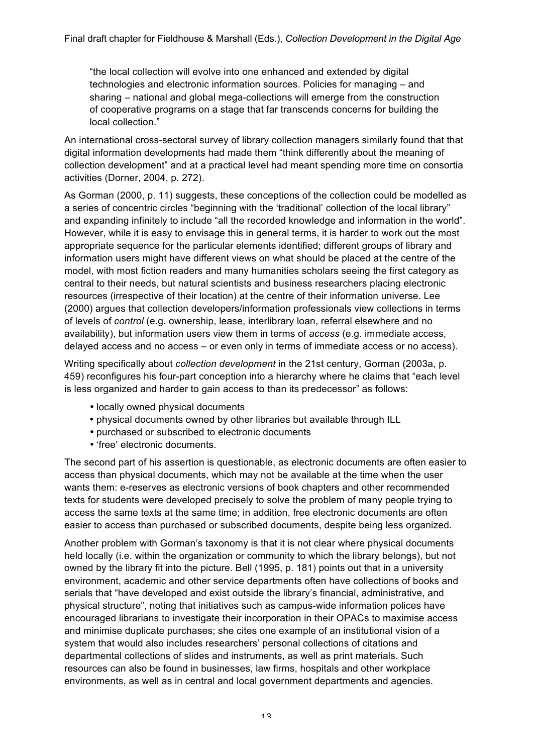"the local collection will evolve into one enhanced and extended by digital technologies and electronic information sources. Policies for managing – and sharing – national and global mega-collections will emerge from the construction of cooperative programs on a stage that far transcends concerns for building the local collection."

An international cross-sectoral survey of library collection managers similarly found that that digital information developments had made them "think differently about the meaning of collection development" and at a practical level had meant spending more time on consortia activities (Dorner, 2004, p. 272).

As Gorman (2000, p. 11) suggests, these conceptions of the collection could be modelled as a series of concentric circles "beginning with the 'traditional' collection of the local library" and expanding infinitely to include "all the recorded knowledge and information in the world". However, while it is easy to envisage this in general terms, it is harder to work out the most appropriate sequence for the particular elements identified; different groups of library and information users might have different views on what should be placed at the centre of the model, with most fiction readers and many humanities scholars seeing the first category as central to their needs, but natural scientists and business researchers placing electronic resources (irrespective of their location) at the centre of their information universe. Lee (2000) argues that collection developers/information professionals view collections in terms of levels of *control* (e.g. ownership, lease, interlibrary loan, referral elsewhere and no availability), but information users view them in terms of *access* (e.g. immediate access, delayed access and no access – or even only in terms of immediate access or no access).

Writing specifically about *collection development* in the 21st century, Gorman (2003a, p. 459) reconfigures his four-part conception into a hierarchy where he claims that "each level is less organized and harder to gain access to than its predecessor" as follows:

- locally owned physical documents
- physical documents owned by other libraries but available through ILL
- purchased or subscribed to electronic documents
- 'free' electronic documents.

The second part of his assertion is questionable, as electronic documents are often easier to access than physical documents, which may not be available at the time when the user wants them: e-reserves as electronic versions of book chapters and other recommended texts for students were developed precisely to solve the problem of many people trying to access the same texts at the same time; in addition, free electronic documents are often easier to access than purchased or subscribed documents, despite being less organized.

Another problem with Gorman's taxonomy is that it is not clear where physical documents held locally (i.e. within the organization or community to which the library belongs), but not owned by the library fit into the picture. Bell (1995, p. 181) points out that in a university environment, academic and other service departments often have collections of books and serials that "have developed and exist outside the library's financial, administrative, and physical structure", noting that initiatives such as campus-wide information polices have encouraged librarians to investigate their incorporation in their OPACs to maximise access and minimise duplicate purchases; she cites one example of an institutional vision of a system that would also includes researchers' personal collections of citations and departmental collections of slides and instruments, as well as print materials. Such resources can also be found in businesses, law firms, hospitals and other workplace environments, as well as in central and local government departments and agencies.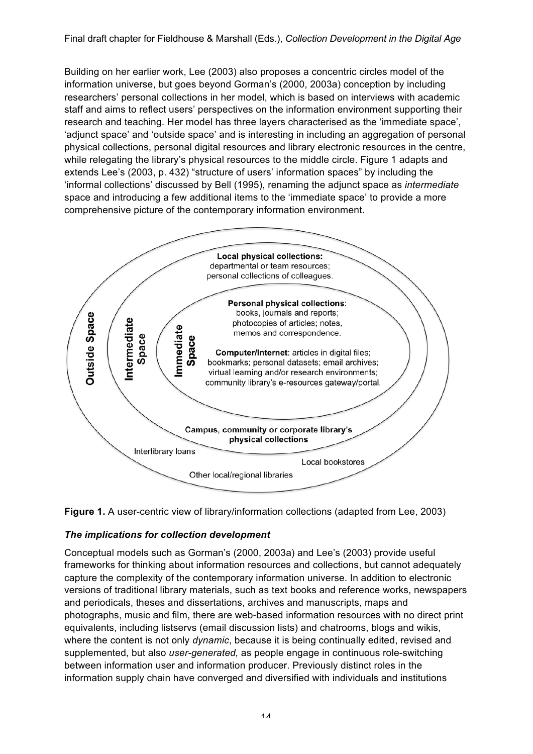Building on her earlier work, Lee (2003) also proposes a concentric circles model of the information universe, but goes beyond Gorman's (2000, 2003a) conception by including researchers' personal collections in her model, which is based on interviews with academic staff and aims to reflect users' perspectives on the information environment supporting their research and teaching. Her model has three layers characterised as the 'immediate space', 'adjunct space' and 'outside space' and is interesting in including an aggregation of personal physical collections, personal digital resources and library electronic resources in the centre, while relegating the library's physical resources to the middle circle. Figure 1 adapts and extends Lee's (2003, p. 432) "structure of users' information spaces" by including the 'informal collections' discussed by Bell (1995), renaming the adjunct space as *intermediate* space and introducing a few additional items to the 'immediate space' to provide a more comprehensive picture of the contemporary information environment.





### *The implications for collection development*

Conceptual models such as Gorman's (2000, 2003a) and Lee's (2003) provide useful frameworks for thinking about information resources and collections, but cannot adequately capture the complexity of the contemporary information universe. In addition to electronic versions of traditional library materials, such as text books and reference works, newspapers and periodicals, theses and dissertations, archives and manuscripts, maps and photographs, music and film, there are web-based information resources with no direct print equivalents, including listservs (email discussion lists) and chatrooms, blogs and wikis, where the content is not only *dynamic*, because it is being continually edited, revised and supplemented, but also *user-generated,* as people engage in continuous role-switching between information user and information producer. Previously distinct roles in the information supply chain have converged and diversified with individuals and institutions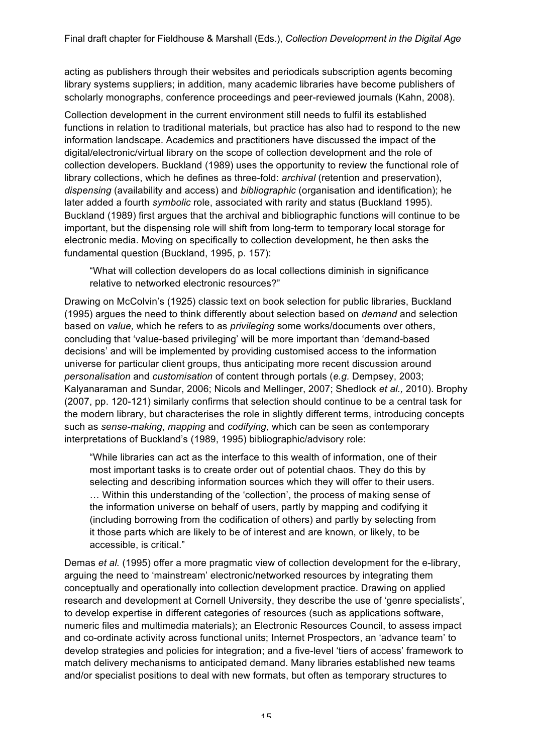acting as publishers through their websites and periodicals subscription agents becoming library systems suppliers; in addition, many academic libraries have become publishers of scholarly monographs, conference proceedings and peer-reviewed journals (Kahn, 2008).

Collection development in the current environment still needs to fulfil its established functions in relation to traditional materials, but practice has also had to respond to the new information landscape. Academics and practitioners have discussed the impact of the digital/electronic/virtual library on the scope of collection development and the role of collection developers. Buckland (1989) uses the opportunity to review the functional role of library collections, which he defines as three-fold: *archival* (retention and preservation), *dispensing* (availability and access) and *bibliographic* (organisation and identification); he later added a fourth *symbolic* role, associated with rarity and status (Buckland 1995). Buckland (1989) first argues that the archival and bibliographic functions will continue to be important, but the dispensing role will shift from long-term to temporary local storage for electronic media. Moving on specifically to collection development, he then asks the fundamental question (Buckland, 1995, p. 157):

"What will collection developers do as local collections diminish in significance relative to networked electronic resources?"

Drawing on McColvin's (1925) classic text on book selection for public libraries, Buckland (1995) argues the need to think differently about selection based on *demand* and selection based on *value,* which he refers to as *privileging* some works/documents over others, concluding that 'value-based privileging' will be more important than 'demand-based decisions' and will be implemented by providing customised access to the information universe for particular client groups, thus anticipating more recent discussion around *personalisation* and *customisation* of content through portals (*e.g.* Dempsey, 2003; Kalyanaraman and Sundar, 2006; Nicols and Mellinger, 2007; Shedlock *et al.,* 2010). Brophy (2007, pp. 120-121) similarly confirms that selection should continue to be a central task for the modern library, but characterises the role in slightly different terms, introducing concepts such as *sense-making*, *mapping* and *codifying,* which can be seen as contemporary interpretations of Buckland's (1989, 1995) bibliographic/advisory role:

"While libraries can act as the interface to this wealth of information, one of their most important tasks is to create order out of potential chaos. They do this by selecting and describing information sources which they will offer to their users. … Within this understanding of the 'collection', the process of making sense of the information universe on behalf of users, partly by mapping and codifying it (including borrowing from the codification of others) and partly by selecting from it those parts which are likely to be of interest and are known, or likely, to be accessible, is critical."

Demas *et al.* (1995) offer a more pragmatic view of collection development for the e-library, arguing the need to 'mainstream' electronic/networked resources by integrating them conceptually and operationally into collection development practice. Drawing on applied research and development at Cornell University, they describe the use of 'genre specialists', to develop expertise in different categories of resources (such as applications software, numeric files and multimedia materials); an Electronic Resources Council, to assess impact and co-ordinate activity across functional units; Internet Prospectors, an 'advance team' to develop strategies and policies for integration; and a five-level 'tiers of access' framework to match delivery mechanisms to anticipated demand. Many libraries established new teams and/or specialist positions to deal with new formats, but often as temporary structures to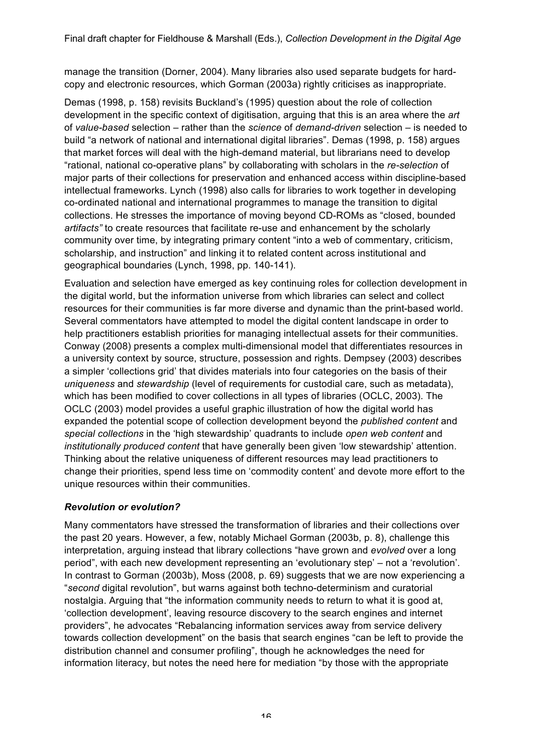manage the transition (Dorner, 2004). Many libraries also used separate budgets for hardcopy and electronic resources, which Gorman (2003a) rightly criticises as inappropriate.

Demas (1998, p. 158) revisits Buckland's (1995) question about the role of collection development in the specific context of digitisation, arguing that this is an area where the *art*  of *value-based* selection – rather than the *science* of *demand-driven* selection – is needed to build "a network of national and international digital libraries". Demas (1998, p. 158) argues that market forces will deal with the high-demand material, but librarians need to develop "rational, national co-operative plans" by collaborating with scholars in the *re-selection* of major parts of their collections for preservation and enhanced access within discipline-based intellectual frameworks. Lynch (1998) also calls for libraries to work together in developing co-ordinated national and international programmes to manage the transition to digital collections. He stresses the importance of moving beyond CD-ROMs as "closed, bounded *artifacts"* to create resources that facilitate re-use and enhancement by the scholarly community over time, by integrating primary content "into a web of commentary, criticism, scholarship, and instruction" and linking it to related content across institutional and geographical boundaries (Lynch, 1998, pp. 140-141).

Evaluation and selection have emerged as key continuing roles for collection development in the digital world, but the information universe from which libraries can select and collect resources for their communities is far more diverse and dynamic than the print-based world. Several commentators have attempted to model the digital content landscape in order to help practitioners establish priorities for managing intellectual assets for their communities. Conway (2008) presents a complex multi-dimensional model that differentiates resources in a university context by source, structure, possession and rights. Dempsey (2003) describes a simpler 'collections grid' that divides materials into four categories on the basis of their *uniqueness* and *stewardship* (level of requirements for custodial care, such as metadata), which has been modified to cover collections in all types of libraries (OCLC, 2003). The OCLC (2003) model provides a useful graphic illustration of how the digital world has expanded the potential scope of collection development beyond the *published content* and *special collections* in the 'high stewardship' quadrants to include *open web content* and *institutionally produced content* that have generally been given 'low stewardship' attention. Thinking about the relative uniqueness of different resources may lead practitioners to change their priorities, spend less time on 'commodity content' and devote more effort to the unique resources within their communities.

### *Revolution or evolution?*

Many commentators have stressed the transformation of libraries and their collections over the past 20 years. However, a few, notably Michael Gorman (2003b, p. 8), challenge this interpretation, arguing instead that library collections "have grown and *evolved* over a long period", with each new development representing an 'evolutionary step' – not a 'revolution'. In contrast to Gorman (2003b), Moss (2008, p. 69) suggests that we are now experiencing a "*second* digital revolution", but warns against both techno-determinism and curatorial nostalgia. Arguing that "the information community needs to return to what it is good at, 'collection development', leaving resource discovery to the search engines and internet providers", he advocates "Rebalancing information services away from service delivery towards collection development" on the basis that search engines "can be left to provide the distribution channel and consumer profiling", though he acknowledges the need for information literacy, but notes the need here for mediation "by those with the appropriate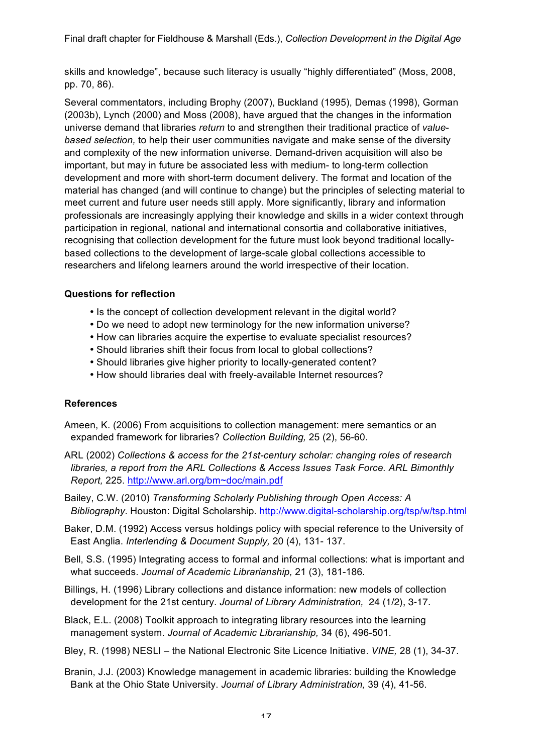skills and knowledge", because such literacy is usually "highly differentiated" (Moss, 2008, pp. 70, 86).

Several commentators, including Brophy (2007), Buckland (1995), Demas (1998), Gorman (2003b), Lynch (2000) and Moss (2008), have argued that the changes in the information universe demand that libraries *return* to and strengthen their traditional practice of *valuebased selection,* to help their user communities navigate and make sense of the diversity and complexity of the new information universe. Demand-driven acquisition will also be important, but may in future be associated less with medium- to long-term collection development and more with short-term document delivery. The format and location of the material has changed (and will continue to change) but the principles of selecting material to meet current and future user needs still apply. More significantly, library and information professionals are increasingly applying their knowledge and skills in a wider context through participation in regional, national and international consortia and collaborative initiatives, recognising that collection development for the future must look beyond traditional locallybased collections to the development of large-scale global collections accessible to researchers and lifelong learners around the world irrespective of their location.

### **Questions for reflection**

- Is the concept of collection development relevant in the digital world?
- Do we need to adopt new terminology for the new information universe?
- How can libraries acquire the expertise to evaluate specialist resources?
- Should libraries shift their focus from local to global collections?
- Should libraries give higher priority to locally-generated content?
- How should libraries deal with freely-available Internet resources?

#### **References**

- Ameen, K. (2006) From acquisitions to collection management: mere semantics or an expanded framework for libraries? *Collection Building,* 25 (2), 56-60.
- ARL (2002) *Collections & access for the 21st-century scholar: changing roles of research libraries, a report from the ARL Collections & Access Issues Task Force. ARL Bimonthly Report,* 225. http://www.arl.org/bm~doc/main.pdf
- Bailey, C.W. (2010) *Transforming Scholarly Publishing through Open Access: A Bibliography*. Houston: Digital Scholarship. http://www.digital-scholarship.org/tsp/w/tsp.html
- Baker, D.M. (1992) Access versus holdings policy with special reference to the University of East Anglia. *Interlending & Document Supply,* 20 (4), 131- 137.
- Bell, S.S. (1995) Integrating access to formal and informal collections: what is important and what succeeds. *Journal of Academic Librarianship,* 21 (3), 181-186.
- Billings, H. (1996) Library collections and distance information: new models of collection development for the 21st century. *Journal of Library Administration,* 24 (1/2), 3-17.
- Black, E.L. (2008) Toolkit approach to integrating library resources into the learning management system. *Journal of Academic Librarianship,* 34 (6), 496-501.
- Bley, R. (1998) NESLI the National Electronic Site Licence Initiative. *VINE,* 28 (1), 34-37.
- Branin, J.J. (2003) Knowledge management in academic libraries: building the Knowledge Bank at the Ohio State University. *Journal of Library Administration,* 39 (4), 41-56.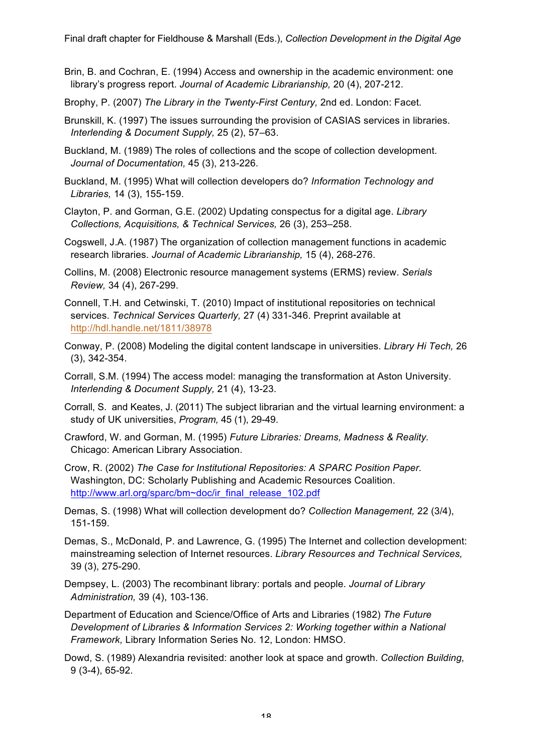- Brin, B. and Cochran, E. (1994) Access and ownership in the academic environment: one library's progress report. *Journal of Academic Librarianship,* 20 (4), 207-212.
- Brophy, P. (2007) *The Library in the Twenty-First Century,* 2nd ed. London: Facet.
- Brunskill, K. (1997) The issues surrounding the provision of CASIAS services in libraries. *Interlending & Document Supply,* 25 (2), 57–63.
- Buckland, M. (1989) The roles of collections and the scope of collection development. *Journal of Documentation,* 45 (3), 213-226.
- Buckland, M. (1995) What will collection developers do? *Information Technology and Libraries,* 14 (3), 155-159.
- Clayton, P. and Gorman, G.E. (2002) Updating conspectus for a digital age. *Library Collections, Acquisitions, & Technical Services,* 26 (3), 253–258.
- Cogswell, J.A. (1987) The organization of collection management functions in academic research libraries. *Journal of Academic Librarianship,* 15 (4), 268-276.
- Collins, M. (2008) Electronic resource management systems (ERMS) review. *Serials Review,* 34 (4), 267-299.
- Connell, T.H. and Cetwinski, T. (2010) Impact of institutional repositories on technical services. *Technical Services Quarterly,* 27 (4) 331-346. Preprint available at http://hdl.handle.net/1811/38978
- Conway, P. (2008) Modeling the digital content landscape in universities. *Library Hi Tech,* 26 (3), 342-354.
- Corrall, S.M. (1994) The access model: managing the transformation at Aston University. *Interlending & Document Supply,* 21 (4), 13-23.
- Corrall, S. and Keates, J. (2011) The subject librarian and the virtual learning environment: a study of UK universities, *Program,* 45 (1), 29-49.
- Crawford, W. and Gorman, M. (1995) *Future Libraries: Dreams, Madness & Reality.*  Chicago: American Library Association.
- Crow, R. (2002) *The Case for Institutional Repositories: A SPARC Position Paper.*  Washington, DC: Scholarly Publishing and Academic Resources Coalition. http://www.arl.org/sparc/bm~doc/ir\_final\_release\_102.pdf
- Demas, S. (1998) What will collection development do? *Collection Management,* 22 (3/4), 151-159.
- Demas, S., McDonald, P. and Lawrence, G. (1995) The Internet and collection development: mainstreaming selection of Internet resources. *Library Resources and Technical Services,*  39 (3), 275-290.
- Dempsey, L. (2003) The recombinant library: portals and people. *Journal of Library Administration,* 39 (4), 103-136.
- Department of Education and Science/Office of Arts and Libraries (1982) *The Future Development of Libraries & Information Services 2: Working together within a National Framework,* Library Information Series No. 12, London: HMSO.
- Dowd, S. (1989) Alexandria revisited: another look at space and growth. *Collection Building,*  9 (3-4), 65-92.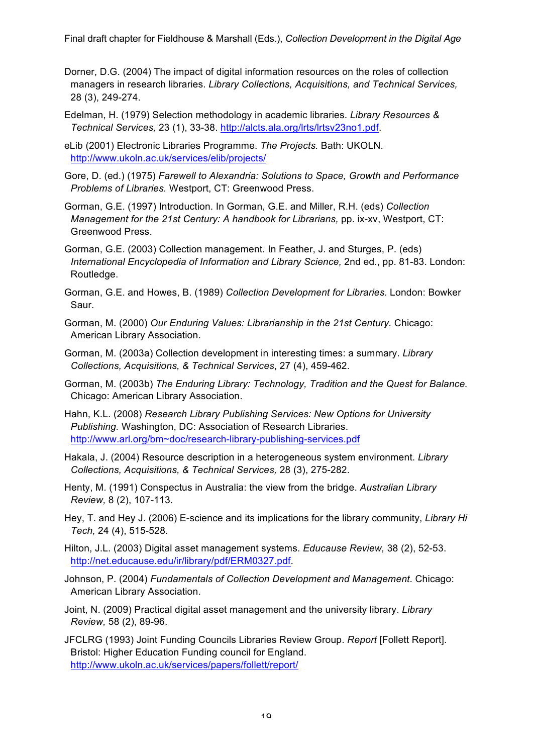- Dorner, D.G. (2004) The impact of digital information resources on the roles of collection managers in research libraries. *Library Collections, Acquisitions, and Technical Services,*  28 (3), 249-274.
- Edelman, H. (1979) Selection methodology in academic libraries. *Library Resources & Technical Services,* 23 (1), 33-38. http://alcts.ala.org/lrts/lrtsv23no1.pdf.

eLib (2001) Electronic Libraries Programme. *The Projects.* Bath: UKOLN. http://www.ukoln.ac.uk/services/elib/projects/

- Gore, D. (ed.) (1975) *Farewell to Alexandria: Solutions to Space, Growth and Performance Problems of Libraries.* Westport, CT: Greenwood Press.
- Gorman, G.E. (1997) Introduction. In Gorman, G.E. and Miller, R.H. (eds) *Collection Management for the 21st Century: A handbook for Librarians, pp. ix-xv, Westport, CT:* Greenwood Press.
- Gorman, G.E. (2003) Collection management. In Feather, J. and Sturges, P. (eds) *International Encyclopedia of Information and Library Science,* 2nd ed., pp. 81-83. London: Routledge.
- Gorman, G.E. and Howes, B. (1989) *Collection Development for Libraries.* London: Bowker Saur.
- Gorman, M. (2000) *Our Enduring Values: Librarianship in the 21st Century.* Chicago: American Library Association.
- Gorman, M. (2003a) Collection development in interesting times: a summary. *Library Collections, Acquisitions, & Technical Services*, 27 (4), 459-462.

Gorman, M. (2003b) *The Enduring Library: Technology, Tradition and the Quest for Balance.*  Chicago: American Library Association.

- Hahn, K.L. (2008) *Research Library Publishing Services: New Options for University Publishing.* Washington, DC: Association of Research Libraries. http://www.arl.org/bm~doc/research-library-publishing-services.pdf
- Hakala, J. (2004) Resource description in a heterogeneous system environment. *Library Collections, Acquisitions, & Technical Services,* 28 (3), 275-282.
- Henty, M. (1991) Conspectus in Australia: the view from the bridge. *Australian Library Review,* 8 (2), 107-113.
- Hey, T. and Hey J. (2006) E-science and its implications for the library community, *Library Hi Tech,* 24 (4), 515-528.
- Hilton, J.L. (2003) Digital asset management systems. *Educause Review,* 38 (2), 52-53. http://net.educause.edu/ir/library/pdf/ERM0327.pdf.
- Johnson, P. (2004) *Fundamentals of Collection Development and Management*. Chicago: American Library Association.
- Joint, N. (2009) Practical digital asset management and the university library. *Library Review,* 58 (2), 89-96.
- JFCLRG (1993) Joint Funding Councils Libraries Review Group. *Report* [Follett Report]. Bristol: Higher Education Funding council for England. http://www.ukoln.ac.uk/services/papers/follett/report/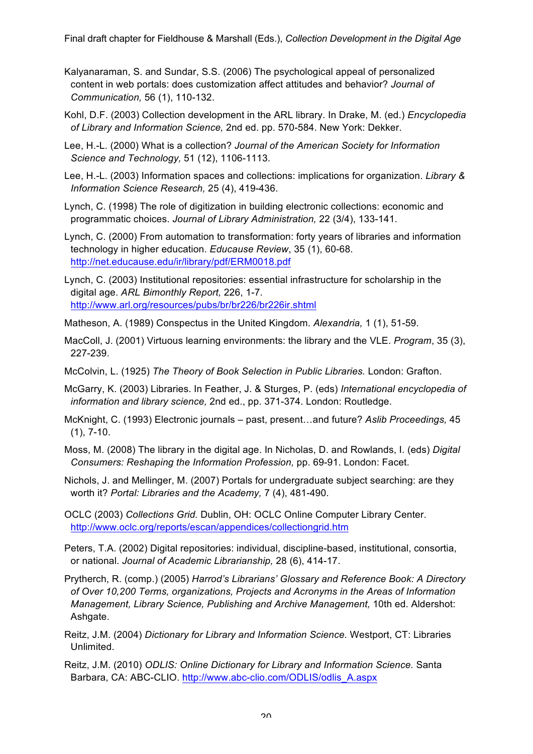- Kalyanaraman, S. and Sundar, S.S. (2006) The psychological appeal of personalized content in web portals: does customization affect attitudes and behavior? *Journal of Communication,* 56 (1), 110-132.
- Kohl, D.F. (2003) Collection development in the ARL library. In Drake, M. (ed.) *Encyclopedia of Library and Information Science,* 2nd ed. pp. 570-584. New York: Dekker.
- Lee, H.-L. (2000) What is a collection? *Journal of the American Society for Information Science and Technology,* 51 (12), 1106-1113.
- Lee, H.-L. (2003) Information spaces and collections: implications for organization. *Library & Information Science Research,* 25 (4), 419-436.
- Lynch, C. (1998) The role of digitization in building electronic collections: economic and programmatic choices. *Journal of Library Administration,* 22 (3/4), 133-141.
- Lynch, C. (2000) From automation to transformation: forty years of libraries and information technology in higher education. *Educause Review*, 35 (1), 60-68. http://net.educause.edu/ir/library/pdf/ERM0018.pdf
- Lynch, C. (2003) Institutional repositories: essential infrastructure for scholarship in the digital age. *ARL Bimonthly Report,* 226, 1-7. http://www.arl.org/resources/pubs/br/br226/br226ir.shtml
- Matheson, A. (1989) Conspectus in the United Kingdom. *Alexandria,* 1 (1), 51-59.
- MacColl, J. (2001) Virtuous learning environments: the library and the VLE. *Program*, 35 (3), 227-239.
- McColvin, L. (1925) *The Theory of Book Selection in Public Libraries.* London: Grafton.
- McGarry, K. (2003) Libraries. In Feather, J. & Sturges, P. (eds) *International encyclopedia of information and library science,* 2nd ed., pp. 371-374. London: Routledge.
- McKnight, C. (1993) Electronic journals past, present…and future? *Aslib Proceedings,* 45  $(1), 7-10.$
- Moss, M. (2008) The library in the digital age. In Nicholas, D. and Rowlands, I. (eds) *Digital Consumers: Reshaping the Information Profession,* pp. 69-91. London: Facet.
- Nichols, J. and Mellinger, M. (2007) Portals for undergraduate subject searching: are they worth it? *Portal: Libraries and the Academy,* 7 (4), 481-490.
- OCLC (2003) *Collections Grid.* Dublin, OH: OCLC Online Computer Library Center. http://www.oclc.org/reports/escan/appendices/collectiongrid.htm
- Peters, T.A. (2002) Digital repositories: individual, discipline-based, institutional, consortia, or national. *Journal of Academic Librarianship,* 28 (6), 414-17.
- Prytherch, R. (comp.) (2005) *Harrod's Librarians' Glossary and Reference Book: A Directory of Over 10,200 Terms, organizations, Projects and Acronyms in the Areas of Information Management, Library Science, Publishing and Archive Management,* 10th ed. Aldershot: Ashgate.
- Reitz, J.M. (2004) *Dictionary for Library and Information Science.* Westport, CT: Libraries Unlimited.
- Reitz, J.M. (2010) *ODLIS: Online Dictionary for Library and Information Science.* Santa Barbara, CA: ABC-CLIO. http://www.abc-clio.com/ODLIS/odlis\_A.aspx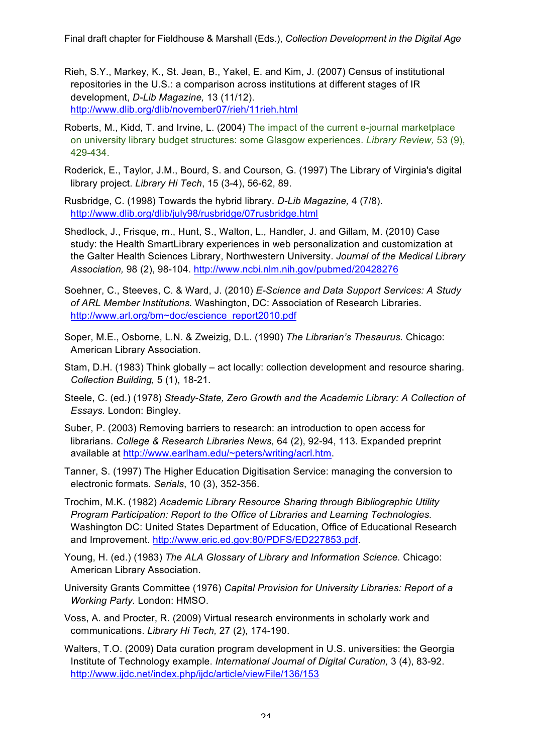- Rieh, S.Y., Markey, K., St. Jean, B., Yakel, E. and Kim, J. (2007) Census of institutional repositories in the U.S.: a comparison across institutions at different stages of IR development, *D-Lib Magazine,* 13 (11/12). http://www.dlib.org/dlib/november07/rieh/11rieh.html
- Roberts, M., Kidd, T. and Irvine, L. (2004) The impact of the current e-journal marketplace on university library budget structures: some Glasgow experiences. *Library Review,* 53 (9), 429-434.
- Roderick, E., Taylor, J.M., Bourd, S. and Courson, G. (1997) The Library of Virginia's digital library project. *Library Hi Tech*, 15 (3-4), 56-62, 89.

Rusbridge, C. (1998) Towards the hybrid library. *D-Lib Magazine,* 4 (7/8). http://www.dlib.org/dlib/july98/rusbridge/07rusbridge.html

- Shedlock, J., Frisque, m., Hunt, S., Walton, L., Handler, J. and Gillam, M. (2010) Case study: the Health SmartLibrary experiences in web personalization and customization at the Galter Health Sciences Library, Northwestern University. *Journal of the Medical Library Association,* 98 (2), 98-104. http://www.ncbi.nlm.nih.gov/pubmed/20428276
- Soehner, C., Steeves, C. & Ward, J. (2010) *E-Science and Data Support Services: A Study of ARL Member Institutions.* Washington, DC: Association of Research Libraries. http://www.arl.org/bm~doc/escience\_report2010.pdf
- Soper, M.E., Osborne, L.N. & Zweizig, D.L. (1990) *The Librarian's Thesaurus.* Chicago: American Library Association.
- Stam, D.H. (1983) Think globally act locally: collection development and resource sharing. *Collection Building,* 5 (1), 18-21.
- Steele, C. (ed.) (1978) *Steady-State, Zero Growth and the Academic Library: A Collection of Essays.* London: Bingley.
- Suber, P. (2003) Removing barriers to research: an introduction to open access for librarians. *College & Research Libraries News,* 64 (2), 92-94, 113. Expanded preprint available at http://www.earlham.edu/~peters/writing/acrl.htm.
- Tanner, S. (1997) The Higher Education Digitisation Service: managing the conversion to electronic formats. *Serials*, 10 (3), 352-356.
- Trochim, M.K. (1982) *Academic Library Resource Sharing through Bibliographic Utility Program Participation: Report to the Office of Libraries and Learning Technologies.*  Washington DC: United States Department of Education, Office of Educational Research and Improvement. http://www.eric.ed.gov:80/PDFS/ED227853.pdf.
- Young, H. (ed.) (1983) *The ALA Glossary of Library and Information Science.* Chicago: American Library Association.
- University Grants Committee (1976) *Capital Provision for University Libraries: Report of a Working Party.* London: HMSO.
- Voss, A. and Procter, R. (2009) Virtual research environments in scholarly work and communications. *Library Hi Tech,* 27 (2), 174-190.
- Walters, T.O. (2009) Data curation program development in U.S. universities: the Georgia Institute of Technology example. *International Journal of Digital Curation,* 3 (4), 83-92. http://www.ijdc.net/index.php/ijdc/article/viewFile/136/153